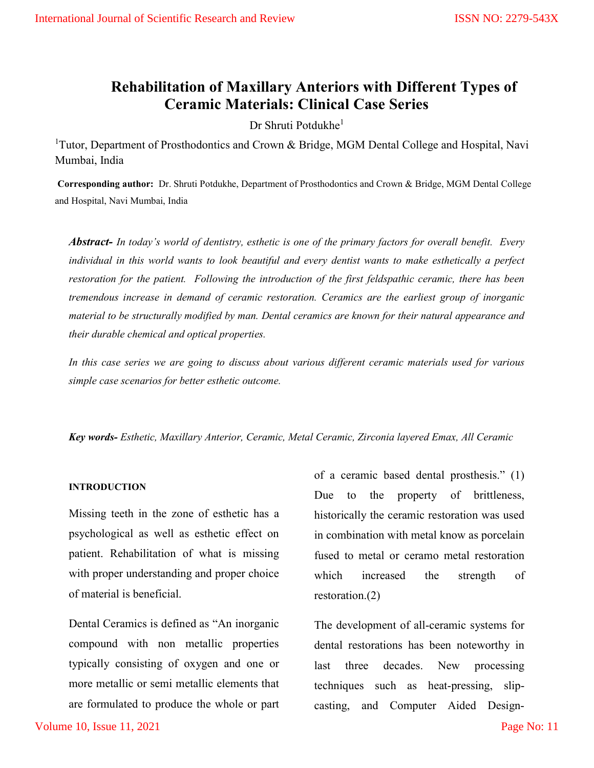# Rehabilitation of Maxillary Anteriors with Different Types of Ceramic Materials: Clinical Case Series

Dr Shruti Potdukhe $1$ 

<sup>1</sup>Tutor, Department of Prosthodontics and Crown & Bridge, MGM Dental College and Hospital, Navi Mumbai, India

Corresponding author: Dr. Shruti Potdukhe, Department of Prosthodontics and Crown & Bridge, MGM Dental College and Hospital, Navi Mumbai, India

Abstract- In today's world of dentistry, esthetic is one of the primary factors for overall benefit. Every individual in this world wants to look beautiful and every dentist wants to make esthetically a perfect restoration for the patient. Following the introduction of the first feldspathic ceramic, there has been tremendous increase in demand of ceramic restoration. Ceramics are the earliest group of inorganic material to be structurally modified by man. Dental ceramics are known for their natural appearance and their durable chemical and optical properties.

In this case series we are going to discuss about various different ceramic materials used for various simple case scenarios for better esthetic outcome.

Key words- Esthetic, Maxillary Anterior, Ceramic, Metal Ceramic, Zirconia layered Emax, All Ceramic

## INTRODUCTION

Missing teeth in the zone of esthetic has a psychological as well as esthetic effect on patient. Rehabilitation of what is missing with proper understanding and proper choice of material is beneficial.

Dental Ceramics is defined as "An inorganic compound with non metallic properties typically consisting of oxygen and one or more metallic or semi metallic elements that are formulated to produce the whole or part of a ceramic based dental prosthesis." (1) Due to the property of brittleness, historically the ceramic restoration was used in combination with metal know as porcelain fused to metal or ceramo metal restoration which increased the strength of restoration.(2)

The development of all-ceramic systems for dental restorations has been noteworthy in last three decades. New processing techniques such as heat-pressing, slipcasting, and Computer Aided Design-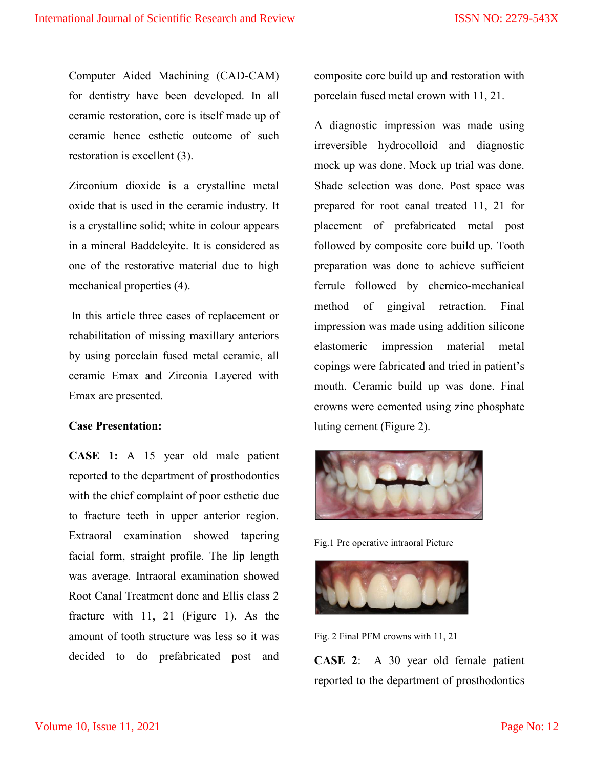Computer Aided Machining (CAD-CAM) for dentistry have been developed. In all ceramic restoration, core is itself made up of ceramic hence esthetic outcome of such restoration is excellent (3).

Zirconium dioxide is a crystalline metal oxide that is used in the ceramic industry. It is a crystalline solid; white in colour appears in a mineral Baddeleyite. It is considered as one of the restorative material due to high mechanical properties (4).

 In this article three cases of replacement or rehabilitation of missing maxillary anteriors by using porcelain fused metal ceramic, all ceramic Emax and Zirconia Layered with Emax are presented.

## Case Presentation:

CASE 1: A 15 year old male patient reported to the department of prosthodontics with the chief complaint of poor esthetic due to fracture teeth in upper anterior region. Extraoral examination showed tapering facial form, straight profile. The lip length was average. Intraoral examination showed Root Canal Treatment done and Ellis class 2 fracture with 11, 21 (Figure 1). As the amount of tooth structure was less so it was decided to do prefabricated post and

composite core build up and restoration with porcelain fused metal crown with 11, 21.

A diagnostic impression was made using irreversible hydrocolloid and diagnostic mock up was done. Mock up trial was done. Shade selection was done. Post space was prepared for root canal treated 11, 21 for placement of prefabricated metal post followed by composite core build up. Tooth preparation was done to achieve sufficient ferrule followed by chemico-mechanical method of gingival retraction. Final impression was made using addition silicone elastomeric impression material metal copings were fabricated and tried in patient's mouth. Ceramic build up was done. Final crowns were cemented using zinc phosphate luting cement (Figure 2).



Fig.1 Pre operative intraoral Picture



Fig. 2 Final PFM crowns with 11, 21

CASE 2: A 30 year old female patient reported to the department of prosthodontics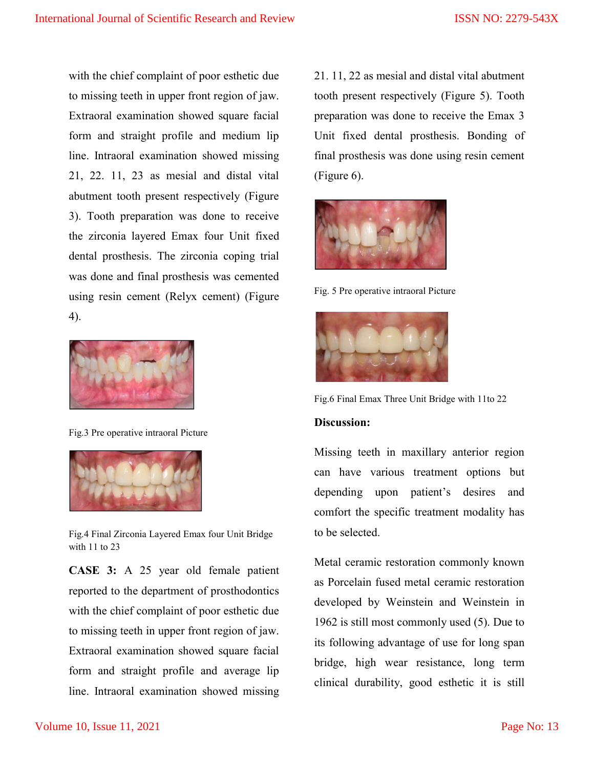with the chief complaint of poor esthetic due to missing teeth in upper front region of jaw. Extraoral examination showed square facial form and straight profile and medium lip line. Intraoral examination showed missing 21, 22. 11, 23 as mesial and distal vital abutment tooth present respectively (Figure 3). Tooth preparation was done to receive the zirconia layered Emax four Unit fixed dental prosthesis. The zirconia coping trial was done and final prosthesis was cemented using resin cement (Relyx cement) (Figure 4).



Fig.3 Pre operative intraoral Picture



Fig.4 Final Zirconia Layered Emax four Unit Bridge with 11 to 23

CASE 3: A 25 year old female patient reported to the department of prosthodontics with the chief complaint of poor esthetic due to missing teeth in upper front region of jaw. Extraoral examination showed square facial form and straight profile and average lip line. Intraoral examination showed missing

21. 11, 22 as mesial and distal vital abutment tooth present respectively (Figure 5). Tooth preparation was done to receive the Emax 3 Unit fixed dental prosthesis. Bonding of final prosthesis was done using resin cement (Figure 6).



Fig. 5 Pre operative intraoral Picture



Fig.6 Final Emax Three Unit Bridge with 11to 22

# Discussion:

Missing teeth in maxillary anterior region can have various treatment options but depending upon patient's desires and comfort the specific treatment modality has to be selected.

Metal ceramic restoration commonly known as Porcelain fused metal ceramic restoration developed by Weinstein and Weinstein in 1962 is still most commonly used (5). Due to its following advantage of use for long span bridge, high wear resistance, long term clinical durability, good esthetic it is still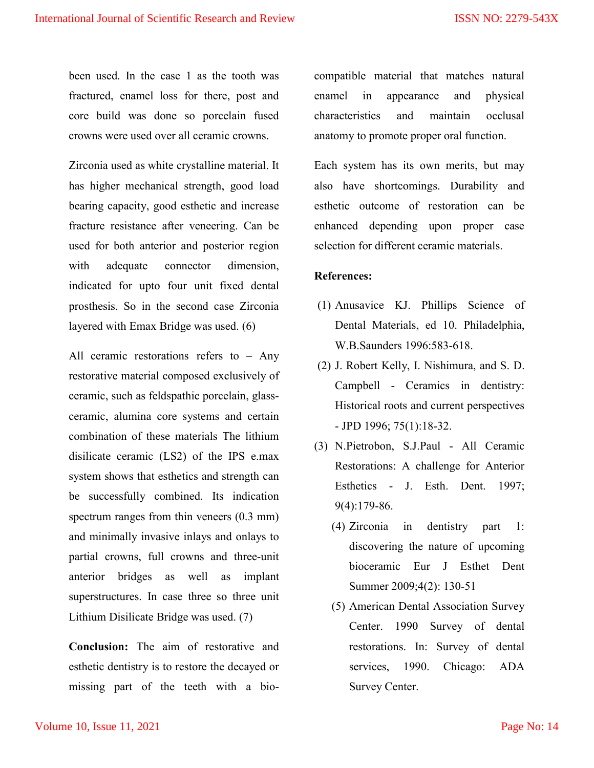been used. In the case 1 as the tooth was fractured, enamel loss for there, post and core build was done so porcelain fused crowns were used over all ceramic crowns.

Zirconia used as white crystalline material. It has higher mechanical strength, good load bearing capacity, good esthetic and increase fracture resistance after veneering. Can be used for both anterior and posterior region with adequate connector dimension, indicated for upto four unit fixed dental prosthesis. So in the second case Zirconia layered with Emax Bridge was used. (6)

All ceramic restorations refers to – Any restorative material composed exclusively of ceramic, such as feldspathic porcelain, glassceramic, alumina core systems and certain combination of these materials The lithium disilicate ceramic (LS2) of the IPS e.max system shows that esthetics and strength can be successfully combined. Its indication spectrum ranges from thin veneers (0.3 mm) and minimally invasive inlays and onlays to partial crowns, full crowns and three-unit anterior bridges as well as implant superstructures. In case three so three unit Lithium Disilicate Bridge was used. (7)

Conclusion: The aim of restorative and esthetic dentistry is to restore the decayed or missing part of the teeth with a biocompatible material that matches natural enamel in appearance and physical characteristics and maintain occlusal anatomy to promote proper oral function.

Each system has its own merits, but may also have shortcomings. Durability and esthetic outcome of restoration can be enhanced depending upon proper case selection for different ceramic materials.

## References:

- (1) Anusavice KJ. Phillips Science of Dental Materials, ed 10. Philadelphia, W.B.Saunders 1996:583-618.
- (2) J. Robert Kelly, I. Nishimura, and S. D. Campbell - Ceramics in dentistry: Historical roots and current perspectives - JPD 1996; 75(1):18-32.
- (3) N.Pietrobon, S.J.Paul All Ceramic Restorations: A challenge for Anterior Esthetics - J. Esth. Dent. 1997; 9(4):179-86.
	- (4) Zirconia in dentistry part 1: discovering the nature of upcoming bioceramic Eur J Esthet Dent Summer 2009;4(2): 130-51
	- (5) American Dental Association Survey Center. 1990 Survey of dental restorations. In: Survey of dental services, 1990. Chicago: ADA Survey Center.